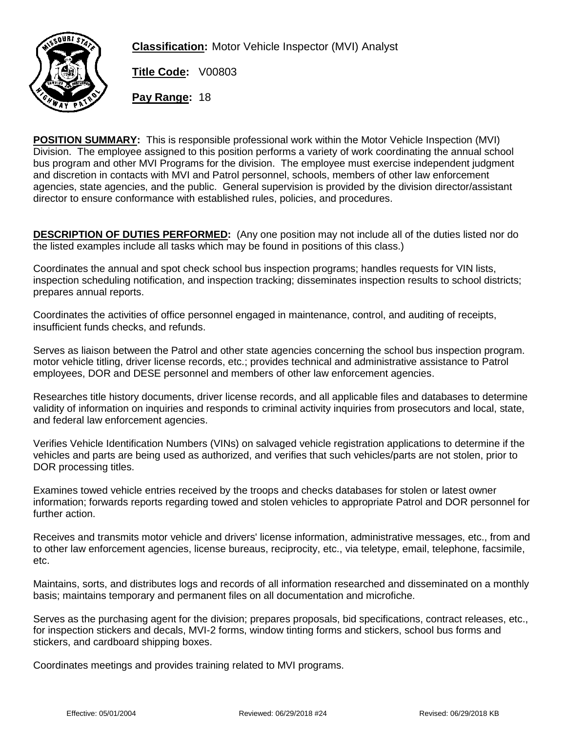

**Classification:** Motor Vehicle Inspector (MVI) Analyst

**Title Code:** V00803

**Pay Range:** 18

**POSITION SUMMARY:** This is responsible professional work within the Motor Vehicle Inspection (MVI) Division. The employee assigned to this position performs a variety of work coordinating the annual school bus program and other MVI Programs for the division. The employee must exercise independent judgment and discretion in contacts with MVI and Patrol personnel, schools, members of other law enforcement agencies, state agencies, and the public. General supervision is provided by the division director/assistant director to ensure conformance with established rules, policies, and procedures.

**DESCRIPTION OF DUTIES PERFORMED:** (Any one position may not include all of the duties listed nor do the listed examples include all tasks which may be found in positions of this class.)

Coordinates the annual and spot check school bus inspection programs; handles requests for VIN lists, inspection scheduling notification, and inspection tracking; disseminates inspection results to school districts; prepares annual reports.

Coordinates the activities of office personnel engaged in maintenance, control, and auditing of receipts, insufficient funds checks, and refunds.

Serves as liaison between the Patrol and other state agencies concerning the school bus inspection program. motor vehicle titling, driver license records, etc.; provides technical and administrative assistance to Patrol employees, DOR and DESE personnel and members of other law enforcement agencies.

Researches title history documents, driver license records, and all applicable files and databases to determine validity of information on inquiries and responds to criminal activity inquiries from prosecutors and local, state, and federal law enforcement agencies.

Verifies Vehicle Identification Numbers (VINs) on salvaged vehicle registration applications to determine if the vehicles and parts are being used as authorized, and verifies that such vehicles/parts are not stolen, prior to DOR processing titles.

Examines towed vehicle entries received by the troops and checks databases for stolen or latest owner information; forwards reports regarding towed and stolen vehicles to appropriate Patrol and DOR personnel for further action.

Receives and transmits motor vehicle and drivers' license information, administrative messages, etc., from and to other law enforcement agencies, license bureaus, reciprocity, etc., via teletype, email, telephone, facsimile, etc.

Maintains, sorts, and distributes logs and records of all information researched and disseminated on a monthly basis; maintains temporary and permanent files on all documentation and microfiche.

Serves as the purchasing agent for the division; prepares proposals, bid specifications, contract releases, etc., for inspection stickers and decals, MVI-2 forms, window tinting forms and stickers, school bus forms and stickers, and cardboard shipping boxes.

Coordinates meetings and provides training related to MVI programs.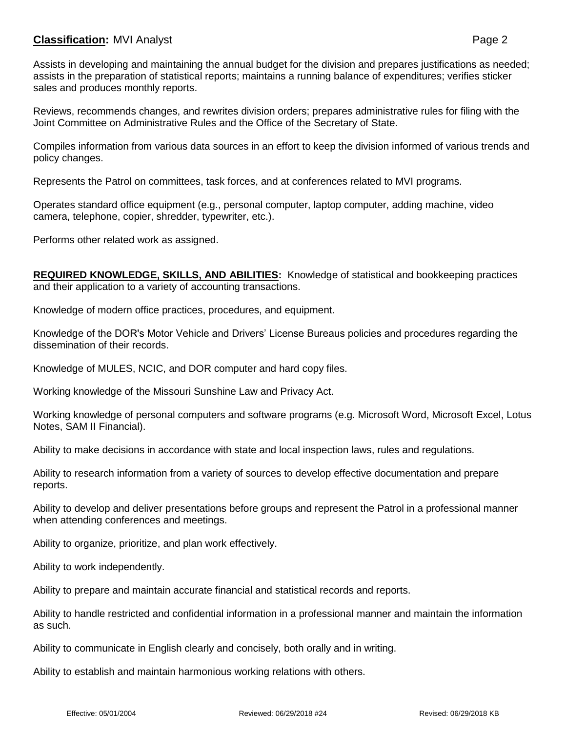## **Classification:** MVI Analyst **Page 2**

Assists in developing and maintaining the annual budget for the division and prepares justifications as needed; assists in the preparation of statistical reports; maintains a running balance of expenditures; verifies sticker sales and produces monthly reports.

Reviews, recommends changes, and rewrites division orders; prepares administrative rules for filing with the Joint Committee on Administrative Rules and the Office of the Secretary of State.

Compiles information from various data sources in an effort to keep the division informed of various trends and policy changes.

Represents the Patrol on committees, task forces, and at conferences related to MVI programs.

Operates standard office equipment (e.g., personal computer, laptop computer, adding machine, video camera, telephone, copier, shredder, typewriter, etc.).

Performs other related work as assigned.

**REQUIRED KNOWLEDGE, SKILLS, AND ABILITIES:** Knowledge of statistical and bookkeeping practices and their application to a variety of accounting transactions.

Knowledge of modern office practices, procedures, and equipment.

Knowledge of the DOR's Motor Vehicle and Drivers' License Bureaus policies and procedures regarding the dissemination of their records.

Knowledge of MULES, NCIC, and DOR computer and hard copy files.

Working knowledge of the Missouri Sunshine Law and Privacy Act.

Working knowledge of personal computers and software programs (e.g. Microsoft Word, Microsoft Excel, Lotus Notes, SAM II Financial).

Ability to make decisions in accordance with state and local inspection laws, rules and regulations.

Ability to research information from a variety of sources to develop effective documentation and prepare reports.

Ability to develop and deliver presentations before groups and represent the Patrol in a professional manner when attending conferences and meetings.

Ability to organize, prioritize, and plan work effectively.

Ability to work independently.

Ability to prepare and maintain accurate financial and statistical records and reports.

Ability to handle restricted and confidential information in a professional manner and maintain the information as such.

Ability to communicate in English clearly and concisely, both orally and in writing.

Ability to establish and maintain harmonious working relations with others.